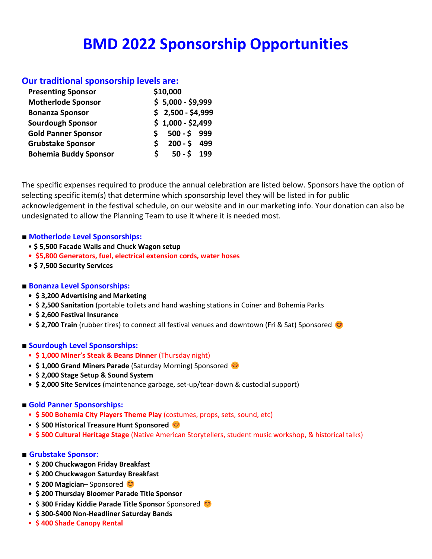# **BMD 2022 Sponsorship Opportunities**

### **Our traditional sponsorship levels are:**

| <b>Presenting Sponsor</b>    | \$10,000           |
|------------------------------|--------------------|
| <b>Motherlode Sponsor</b>    | $$5,000 - $9,999$  |
| <b>Bonanza Sponsor</b>       | $$2,500 - $4,999$  |
| <b>Sourdough Sponsor</b>     | $$1,000 - $2,499$  |
| <b>Gold Panner Sponsor</b>   | $500 - 5$ 999<br>S |
| <b>Grubstake Sponsor</b>     | $200 - 5$ 499<br>S |
| <b>Bohemia Buddy Sponsor</b> | $50 - 5$ 199<br>S  |
|                              |                    |

The specific expenses required to produce the annual celebration are listed below. Sponsors have the option of selecting specific item(s) that determine which sponsorship level they will be listed in for public acknowledgement in the festival schedule, on our website and in our marketing info. Your donation can also be undesignated to allow the Planning Team to use it where it is needed most.

#### **■ Motherlode Level Sponsorships:**

- **\$ 5,500 Facade Walls and Chuck Wagon setup**
- **\$5,800 Generators, fuel, electrical extension cords, water hoses**
- **\$ 7,500 Security Services**

#### **■ Bonanza Level Sponsorships:**

- **\$ 3,200 Advertising and Marketing**
- **\$ 2,500 Sanitation** (portable toilets and hand washing stations in Coiner and Bohemia Parks
- **\$ 2,600 Festival Insurance**
- \$ 2,700 Train (rubber tires) to connect all festival venues and downtown (Fri & Sat) Sponsored <sup>3</sup>

#### **■ Sourdough Level Sponsorships:**

- **\$ 1,000 Miner's Steak & Beans Dinner** (Thursday night)
- **\$ 1,000 Grand Miners Parade** (Saturday Morning) Sponsored
- **\$ 2,000 Stage Setup & Sound System**
- **\$ 2,000 Site Services** (maintenance garbage, set-up/tear-down & custodial support)

## **■ Gold Panner Sponsorships:**

- **\$ 500 Bohemia City Players Theme Play** (costumes, props, sets, sound, etc)
- **\$ 500 Historical Treasure Hunt Sponsored**
- **\$ 500 Cultural Heritage Stage** (Native American Storytellers, student music workshop, & historical talks)

## **■ Grubstake Sponsor:**

- **\$ 200 Chuckwagon Friday Breakfast**
- **\$ 200 Chuckwagon Saturday Breakfast**
- **\$ 200 Magician** Sponsored
- **• \$ 200 Thursday Bloomer Parade Title Sponsor**
- **\$ 300 Friday Kiddie Parade Title Sponsor** Sponsored
- **\$ 300-\$400 Non-Headliner Saturday Bands**
- **\$ 400 Shade Canopy Rental**